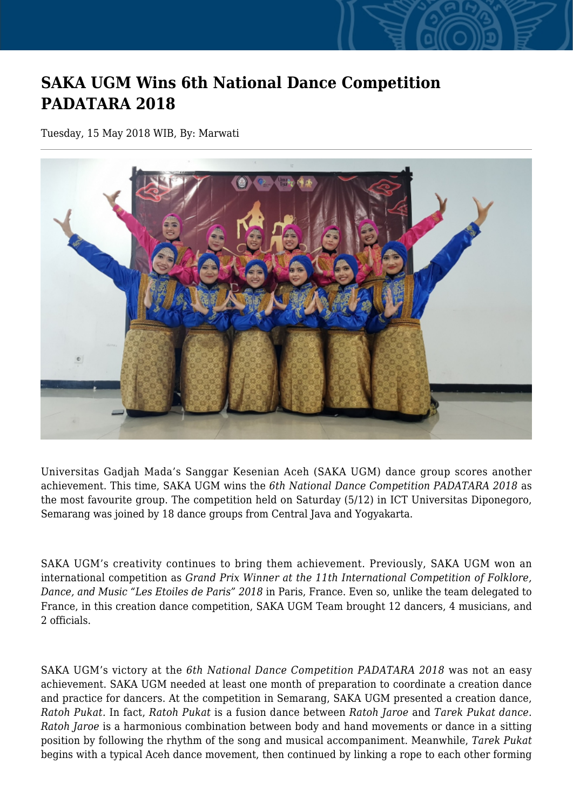## **SAKA UGM Wins 6th National Dance Competition PADATARA 2018**

Tuesday, 15 May 2018 WIB, By: Marwati



Universitas Gadjah Mada's Sanggar Kesenian Aceh (SAKA UGM) dance group scores another achievement. This time, SAKA UGM wins the *6th National Dance Competition PADATARA 2018* as the most favourite group. The competition held on Saturday (5/12) in ICT Universitas Diponegoro, Semarang was joined by 18 dance groups from Central Java and Yogyakarta.

SAKA UGM's creativity continues to bring them achievement. Previously, SAKA UGM won an international competition as *Grand Prix Winner at the 11th International Competition of Folklore, Dance, and Music "Les Etoiles de Paris" 2018* in Paris, France. Even so, unlike the team delegated to France, in this creation dance competition, SAKA UGM Team brought 12 dancers, 4 musicians, and 2 officials.

SAKA UGM's victory at the *6th National Dance Competition PADATARA 2018* was not an easy achievement. SAKA UGM needed at least one month of preparation to coordinate a creation dance and practice for dancers. At the competition in Semarang, SAKA UGM presented a creation dance, *Ratoh Pukat.* In fact, *Ratoh Pukat* is a fusion dance between *Ratoh Jaroe* and *Tarek Pukat dance. Ratoh Jaroe* is a harmonious combination between body and hand movements or dance in a sitting position by following the rhythm of the song and musical accompaniment. Meanwhile, *Tarek Pukat* begins with a typical Aceh dance movement, then continued by linking a rope to each other forming